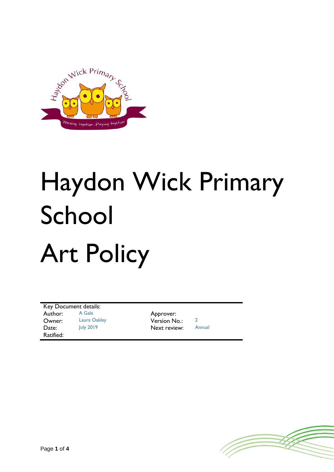

# Haydon Wick Primary School Art Policy

Key Document details: Author: A Gale Approver: Owner: Laura Oakley Version No.: 2 Date: July 2019 Next review: Ratified:

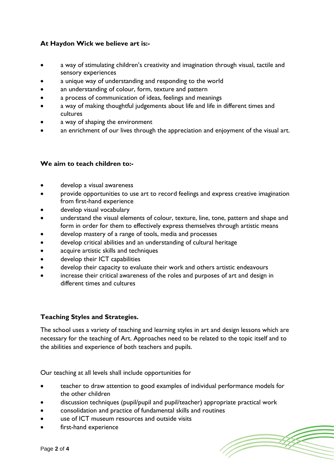# **At Haydon Wick we believe art is:-**

- a way of stimulating children's creativity and imagination through visual, tactile and sensory experiences
- a unique way of understanding and responding to the world
- an understanding of colour, form, texture and pattern
- a process of communication of ideas, feelings and meanings
- a way of making thoughtful judgements about life and life in different times and cultures
- a way of shaping the environment
- an enrichment of our lives through the appreciation and enjoyment of the visual art.

## **We aim to teach children to:-**

- develop a visual awareness
- provide opportunities to use art to record feelings and express creative imagination from first-hand experience
- develop visual vocabulary
- understand the visual elements of colour, texture, line, tone, pattern and shape and form in order for them to effectively express themselves through artistic means
- develop mastery of a range of tools, media and processes
- develop critical abilities and an understanding of cultural heritage
- acquire artistic skills and techniques
- develop their ICT capabilities
- develop their capacity to evaluate their work and others artistic endeavours
- increase their critical awareness of the roles and purposes of art and design in different times and cultures

# **Teaching Styles and Strategies.**

The school uses a variety of teaching and learning styles in art and design lessons which are necessary for the teaching of Art. Approaches need to be related to the topic itself and to the abilities and experience of both teachers and pupils.

Our teaching at all levels shall include opportunities for

- teacher to draw attention to good examples of individual performance models for the other children
- discussion techniques (pupil/pupil and pupil/teacher) appropriate practical work
- consolidation and practice of fundamental skills and routines
- use of ICT museum resources and outside visits
- first-hand experience

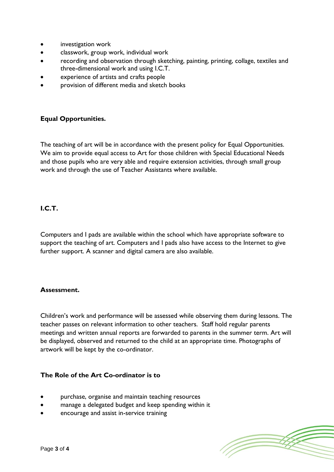- investigation work
- classwork, group work, individual work
- recording and observation through sketching, painting, printing, collage, textiles and three-dimensional work and using I.C.T.
- experience of artists and crafts people
- provision of different media and sketch books

# **Equal Opportunities.**

The teaching of art will be in accordance with the present policy for Equal Opportunities. We aim to provide equal access to Art for those children with Special Educational Needs and those pupils who are very able and require extension activities, through small group work and through the use of Teacher Assistants where available.

## **I.C.T.**

Computers and I pads are available within the school which have appropriate software to support the teaching of art. Computers and I pads also have access to the Internet to give further support. A scanner and digital camera are also available.

#### **Assessment.**

Children's work and performance will be assessed while observing them during lessons. The teacher passes on relevant information to other teachers. Staff hold regular parents meetings and written annual reports are forwarded to parents in the summer term. Art will be displayed, observed and returned to the child at an appropriate time. Photographs of artwork will be kept by the co-ordinator.

#### **The Role of the Art Co-ordinator is to**

- purchase, organise and maintain teaching resources
- manage a delegated budget and keep spending within it
- encourage and assist in-service training